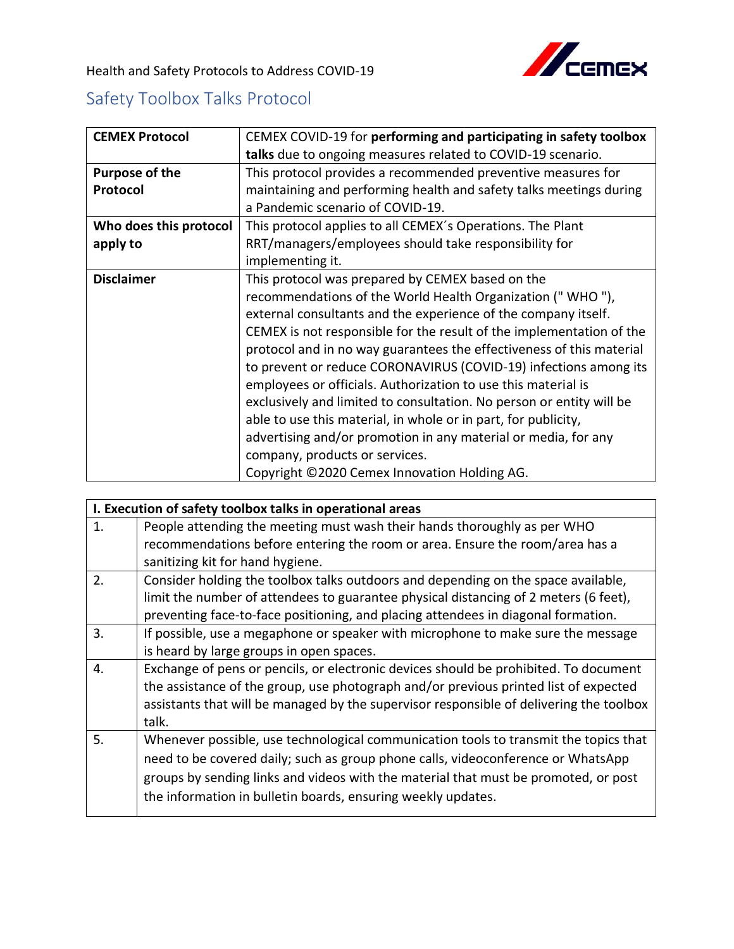

Health and Safety Protocols to Address COVID-19

## Safety Toolbox Talks Protocol

| <b>CEMEX Protocol</b>  | CEMEX COVID-19 for performing and participating in safety toolbox    |
|------------------------|----------------------------------------------------------------------|
|                        | talks due to ongoing measures related to COVID-19 scenario.          |
| <b>Purpose of the</b>  | This protocol provides a recommended preventive measures for         |
| Protocol               | maintaining and performing health and safety talks meetings during   |
|                        | a Pandemic scenario of COVID-19.                                     |
| Who does this protocol | This protocol applies to all CEMEX's Operations. The Plant           |
| apply to               | RRT/managers/employees should take responsibility for                |
|                        | implementing it.                                                     |
| <b>Disclaimer</b>      | This protocol was prepared by CEMEX based on the                     |
|                        | recommendations of the World Health Organization ("WHO"),            |
|                        | external consultants and the experience of the company itself.       |
|                        | CEMEX is not responsible for the result of the implementation of the |
|                        | protocol and in no way guarantees the effectiveness of this material |
|                        | to prevent or reduce CORONAVIRUS (COVID-19) infections among its     |
|                        | employees or officials. Authorization to use this material is        |
|                        | exclusively and limited to consultation. No person or entity will be |
|                        | able to use this material, in whole or in part, for publicity,       |
|                        | advertising and/or promotion in any material or media, for any       |
|                        | company, products or services.                                       |
|                        | Copyright ©2020 Cemex Innovation Holding AG.                         |

|    | I. Execution of safety toolbox talks in operational areas                               |  |
|----|-----------------------------------------------------------------------------------------|--|
| 1. | People attending the meeting must wash their hands thoroughly as per WHO                |  |
|    | recommendations before entering the room or area. Ensure the room/area has a            |  |
|    | sanitizing kit for hand hygiene.                                                        |  |
| 2. | Consider holding the toolbox talks outdoors and depending on the space available,       |  |
|    | limit the number of attendees to guarantee physical distancing of 2 meters (6 feet),    |  |
|    | preventing face-to-face positioning, and placing attendees in diagonal formation.       |  |
| 3. | If possible, use a megaphone or speaker with microphone to make sure the message        |  |
|    | is heard by large groups in open spaces.                                                |  |
| 4. | Exchange of pens or pencils, or electronic devices should be prohibited. To document    |  |
|    | the assistance of the group, use photograph and/or previous printed list of expected    |  |
|    | assistants that will be managed by the supervisor responsible of delivering the toolbox |  |
|    | talk.                                                                                   |  |
| 5. | Whenever possible, use technological communication tools to transmit the topics that    |  |
|    | need to be covered daily; such as group phone calls, videoconference or WhatsApp        |  |
|    | groups by sending links and videos with the material that must be promoted, or post     |  |
|    | the information in bulletin boards, ensuring weekly updates.                            |  |
|    |                                                                                         |  |